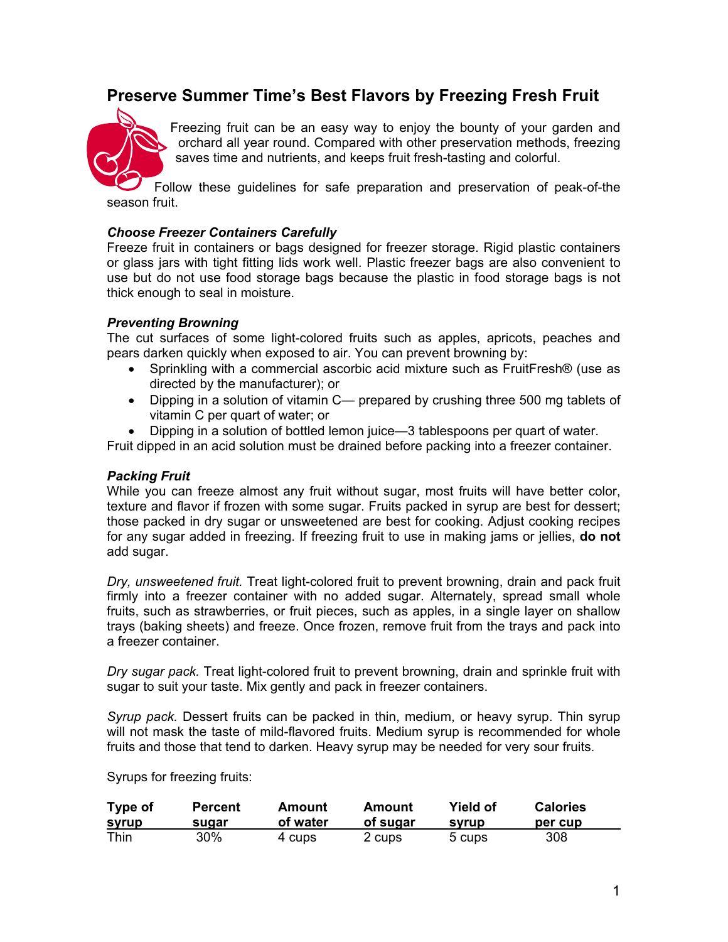# **Preserve Summer Time's Best Flavors by Freezing Fresh Fruit**



Freezing fruit can be an easy way to enjoy the bounty of your garden and orchard all year round. Compared with other preservation methods, freezing saves time and nutrients, and keeps fruit fresh-tasting and colorful.

Follow these guidelines for safe preparation and preservation of peak-of-the season fruit.

## *Choose Freezer Containers Carefully*

Freeze fruit in containers or bags designed for freezer storage. Rigid plastic containers or glass jars with tight fitting lids work well. Plastic freezer bags are also convenient to use but do not use food storage bags because the plastic in food storage bags is not thick enough to seal in moisture.

## *Preventing Browning*

The cut surfaces of some light-colored fruits such as apples, apricots, peaches and pears darken quickly when exposed to air. You can prevent browning by:

- Sprinkling with a commercial ascorbic acid mixture such as FruitFresh® (use as directed by the manufacturer); or
- Dipping in a solution of vitamin C— prepared by crushing three 500 mg tablets of vitamin C per quart of water; or
- Dipping in a solution of bottled lemon juice—3 tablespoons per quart of water.

Fruit dipped in an acid solution must be drained before packing into a freezer container.

### *Packing Fruit*

While you can freeze almost any fruit without sugar, most fruits will have better color, texture and flavor if frozen with some sugar. Fruits packed in syrup are best for dessert; those packed in dry sugar or unsweetened are best for cooking. Adjust cooking recipes for any sugar added in freezing. If freezing fruit to use in making jams or jellies, **do not** add sugar.

*Dry, unsweetened fruit.* Treat light-colored fruit to prevent browning, drain and pack fruit firmly into a freezer container with no added sugar. Alternately, spread small whole fruits, such as strawberries, or fruit pieces, such as apples, in a single layer on shallow trays (baking sheets) and freeze. Once frozen, remove fruit from the trays and pack into a freezer container.

*Dry sugar pack.* Treat light-colored fruit to prevent browning, drain and sprinkle fruit with sugar to suit your taste. Mix gently and pack in freezer containers.

*Syrup pack.* Dessert fruits can be packed in thin, medium, or heavy syrup. Thin syrup will not mask the taste of mild-flavored fruits. Medium syrup is recommended for whole fruits and those that tend to darken. Heavy syrup may be needed for very sour fruits.

Syrups for freezing fruits:

| Type of      | <b>Percent</b> | Amount   | Amount   | Yield of | <b>Calories</b> |
|--------------|----------------|----------|----------|----------|-----------------|
| <u>syrup</u> | sugar          | of water | of sugar | svrup    | per cup         |
| Thin         | 30%            | 4 cups   | 2 cups   | 5 cups   | 308             |